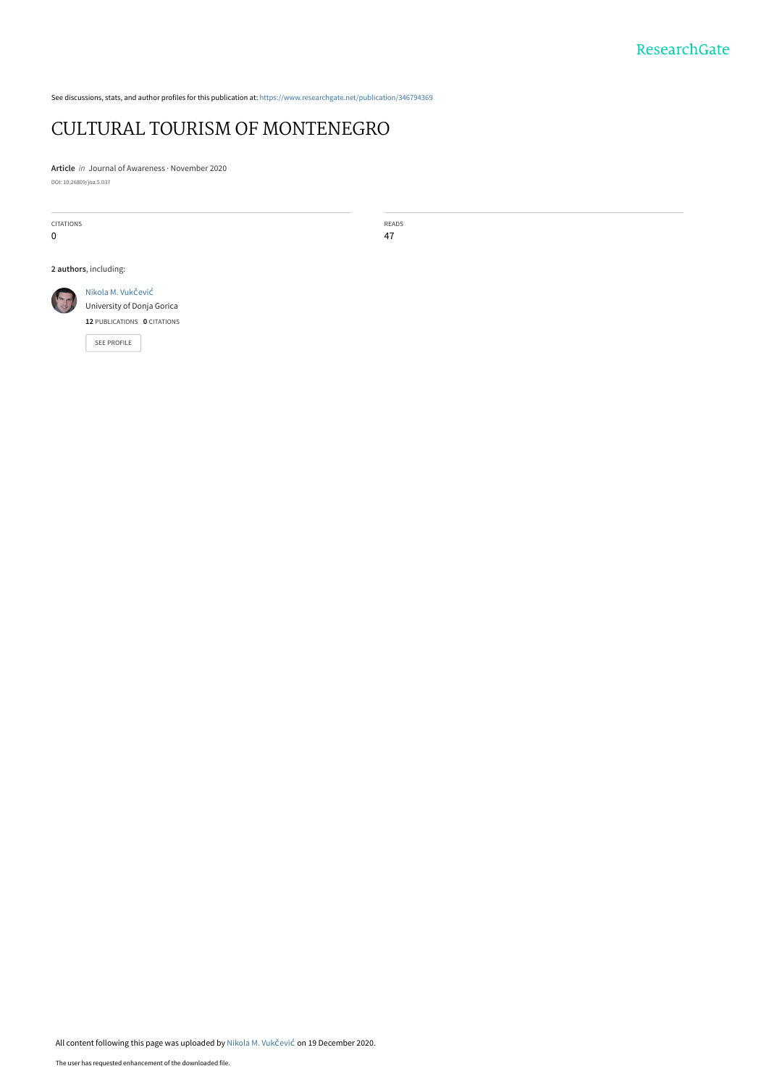See discussions, stats, and author profiles for this publication at: [https://www.researchgate.net/publication/346794369](https://www.researchgate.net/publication/346794369_CULTURAL_TOURISM_OF_MONTENEGRO?enrichId=rgreq-14f573544eacabd03f12b31924eacaac-XXX&enrichSource=Y292ZXJQYWdlOzM0Njc5NDM2OTtBUzo5NzA1Mjc1NTY1MTc4ODlAMTYwODQwMzIwOTUxOA%3D%3D&el=1_x_2&_esc=publicationCoverPdf)

# [CULTURAL TOURISM OF MONTENEGRO](https://www.researchgate.net/publication/346794369_CULTURAL_TOURISM_OF_MONTENEGRO?enrichId=rgreq-14f573544eacabd03f12b31924eacaac-XXX&enrichSource=Y292ZXJQYWdlOzM0Njc5NDM2OTtBUzo5NzA1Mjc1NTY1MTc4ODlAMTYwODQwMzIwOTUxOA%3D%3D&el=1_x_3&_esc=publicationCoverPdf)

**Article** in Journal of Awareness · November 2020 DOI: 10.26809/joa.5.037

CITATIONS 0

READS 47

**2 authors**, including:



**12** PUBLICATIONS **0** CITATIONS

[SEE PROFILE](https://www.researchgate.net/profile/Nikola_M_Vukcevic?enrichId=rgreq-14f573544eacabd03f12b31924eacaac-XXX&enrichSource=Y292ZXJQYWdlOzM0Njc5NDM2OTtBUzo5NzA1Mjc1NTY1MTc4ODlAMTYwODQwMzIwOTUxOA%3D%3D&el=1_x_7&_esc=publicationCoverPdf)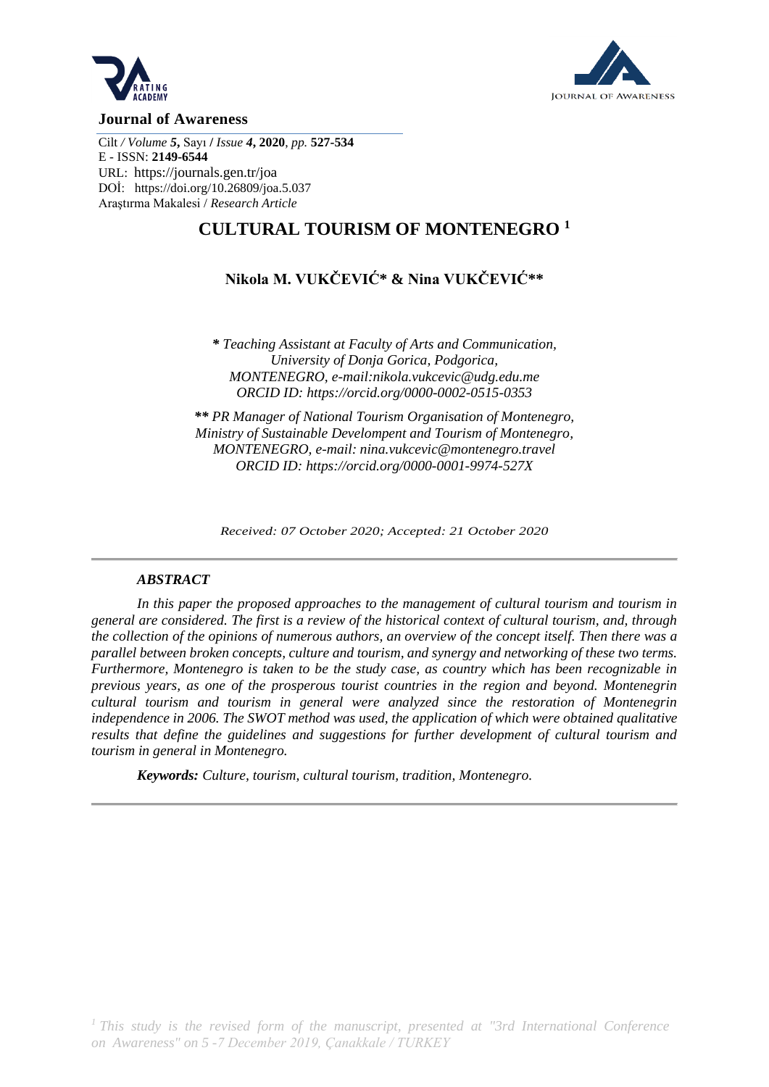



#### **Journal of Awareness**

Cilt */ Volume 5***,** Sayı **/** *Issue 4***, 2020**, *pp.* **527-534** E - ISSN: **2149-6544** URL: <https://journals.gen.tr/joa> DOİ:<https://doi.org/10.26809/joa.5.037> Araştırma Makalesi / *Research Article*

## **CULTURAL TOURISM OF MONTENEGRO <sup>1</sup>**

## **Nikola M. VUKČEVIĆ\* & Nina VUKČEVIĆ\*\***

*\* Teaching Assistant at Faculty of Arts and Communication, University of Donja Gorica, Podgorica, MONTENEGRO, e-mail:nikola.vukcevic@udg.edu.me ORCID ID:<https://orcid.org/0000-0002-0515-0353>*

*\*\* PR Manager of National Tourism Organisation of Montenegro, Ministry of Sustainable Develompent and Tourism of Montenegro, MONTENEGRO, e-mail: nina.vukcevic@montenegro.travel ORCID ID:<https://orcid.org/0000-0001-9974-527X>*

*Received: 07 October 2020; Accepted: 21 October 2020*

#### *ABSTRACT*

*In this paper the proposed approaches to the management of cultural tourism and tourism in general are considered. The first is a review of the historical context of cultural tourism, and, through the collection of the opinions of numerous authors, an overview of the concept itself. Then there was a parallel between broken concepts, culture and tourism, and synergy and networking of these two terms. Furthermore, Montenegro is taken to be the study case, as country which has been recognizable in previous years, as one of the prosperous tourist countries in the region and beyond. Montenegrin cultural tourism and tourism in general were analyzed since the restoration of Montenegrin independence in 2006. The SWOT method was used, the application of which were obtained qualitative results that define the guidelines and suggestions for further development of cultural tourism and tourism in general in Montenegro.* 

*Keywords: Culture, tourism, cultural tourism, tradition, Montenegro.*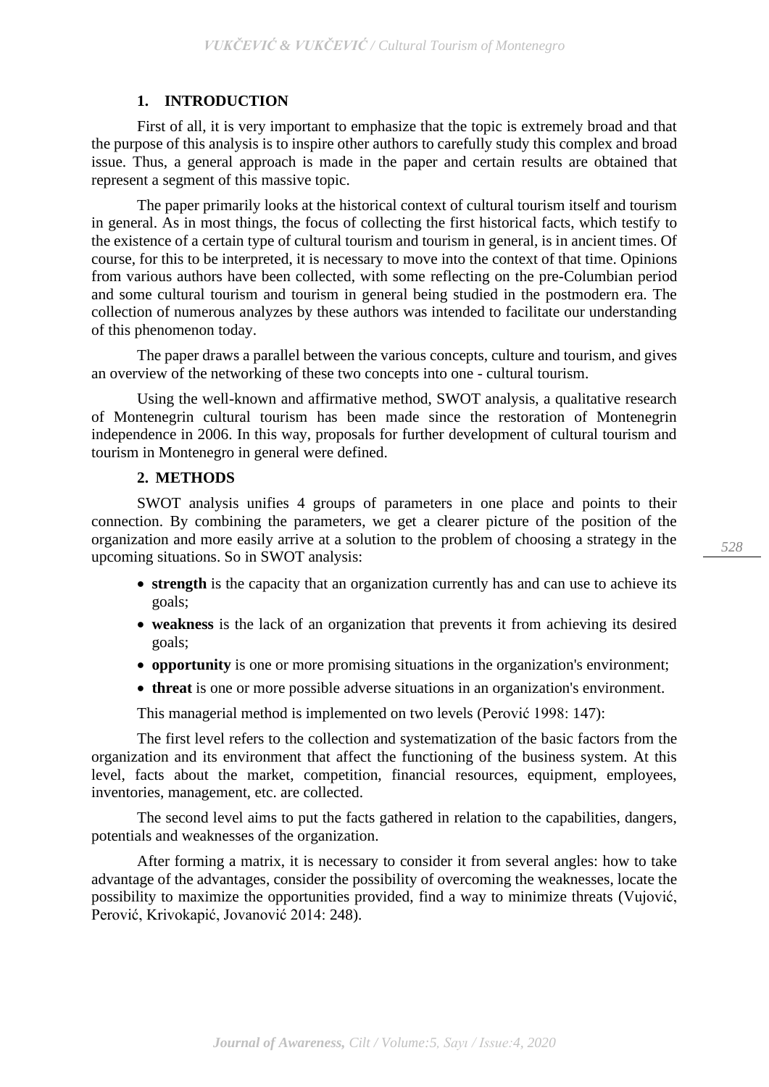## **1. INTRODUCTION**

First of all, it is very important to emphasize that the topic is extremely broad and that the purpose of this analysis is to inspire other authors to carefully study this complex and broad issue. Thus, a general approach is made in the paper and certain results are obtained that represent a segment of this massive topic.

The paper primarily looks at the historical context of cultural tourism itself and tourism in general. As in most things, the focus of collecting the first historical facts, which testify to the existence of a certain type of cultural tourism and tourism in general, is in ancient times. Of course, for this to be interpreted, it is necessary to move into the context of that time. Opinions from various authors have been collected, with some reflecting on the pre-Columbian period and some cultural tourism and tourism in general being studied in the postmodern era. The collection of numerous analyzes by these authors was intended to facilitate our understanding of this phenomenon today.

The paper draws a parallel between the various concepts, culture and tourism, and gives an overview of the networking of these two concepts into one - cultural tourism.

Using the well-known and affirmative method, SWOT analysis, a qualitative research of Montenegrin cultural tourism has been made since the restoration of Montenegrin independence in 2006. In this way, proposals for further development of cultural tourism and tourism in Montenegro in general were defined.

## **2. METHODS**

SWOT analysis unifies 4 groups of parameters in one place and points to their connection. By combining the parameters, we get a clearer picture of the position of the organization and more easily arrive at a solution to the problem of choosing a strategy in the upcoming situations. So in SWOT analysis:

- **strength** is the capacity that an organization currently has and can use to achieve its goals;
- **weakness** is the lack of an organization that prevents it from achieving its desired goals;
- **opportunity** is one or more promising situations in the organization's environment;
- **threat** is one or more possible adverse situations in an organization's environment.

This managerial method is implemented on two levels (Perović 1998: 147):

The first level refers to the collection and systematization of the basic factors from the organization and its environment that affect the functioning of the business system. At this level, facts about the market, competition, financial resources, equipment, employees, inventories, management, etc. are collected.

The second level aims to put the facts gathered in relation to the capabilities, dangers, potentials and weaknesses of the organization.

After forming a matrix, it is necessary to consider it from several angles: how to take advantage of the advantages, consider the possibility of overcoming the weaknesses, locate the possibility to maximize the opportunities provided, find a way to minimize threats (Vujović, Perović, Krivokapić, Jovanović 2014: 248).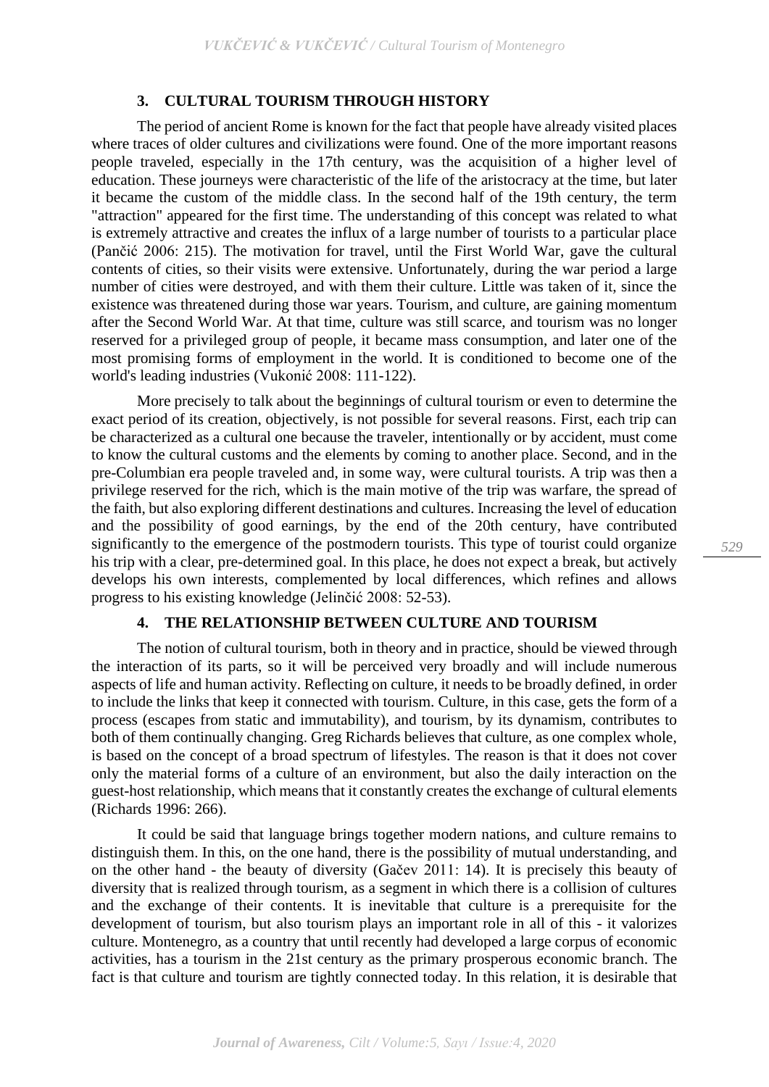#### **3. CULTURAL TOURISM THROUGH HISTORY**

The period of ancient Rome is known for the fact that people have already visited places where traces of older cultures and civilizations were found. One of the more important reasons people traveled, especially in the 17th century, was the acquisition of a higher level of education. These journeys were characteristic of the life of the aristocracy at the time, but later it became the custom of the middle class. In the second half of the 19th century, the term "attraction" appeared for the first time. The understanding of this concept was related to what is extremely attractive and creates the influx of a large number of tourists to a particular place (Pančić 2006: 215). The motivation for travel, until the First World War, gave the cultural contents of cities, so their visits were extensive. Unfortunately, during the war period a large number of cities were destroyed, and with them their culture. Little was taken of it, since the existence was threatened during those war years. Tourism, and culture, are gaining momentum after the Second World War. At that time, culture was still scarce, and tourism was no longer reserved for a privileged group of people, it became mass consumption, and later one of the most promising forms of employment in the world. It is conditioned to become one of the world's leading industries (Vukonić 2008: 111-122).

More precisely to talk about the beginnings of cultural tourism or even to determine the exact period of its creation, objectively, is not possible for several reasons. First, each trip can be characterized as a cultural one because the traveler, intentionally or by accident, must come to know the cultural customs and the elements by coming to another place. Second, and in the pre-Columbian era people traveled and, in some way, were cultural tourists. A trip was then a privilege reserved for the rich, which is the main motive of the trip was warfare, the spread of the faith, but also exploring different destinations and cultures. Increasing the level of education and the possibility of good earnings, by the end of the 20th century, have contributed significantly to the emergence of the postmodern tourists. This type of tourist could organize his trip with a clear, pre-determined goal. In this place, he does not expect a break, but actively develops his own interests, complemented by local differences, which refines and allows progress to his existing knowledge (Jelinčić 2008: 52-53).

## **4. THE RELATIONSHIP BETWEEN CULTURE AND TOURISM**

The notion of cultural tourism, both in theory and in practice, should be viewed through the interaction of its parts, so it will be perceived very broadly and will include numerous aspects of life and human activity. Reflecting on culture, it needs to be broadly defined, in order to include the links that keep it connected with tourism. Culture, in this case, gets the form of a process (escapes from static and immutability), and tourism, by its dynamism, contributes to both of them continually changing. Greg Richards believes that culture, as one complex whole, is based on the concept of a broad spectrum of lifestyles. The reason is that it does not cover only the material forms of a culture of an environment, but also the daily interaction on the guest-host relationship, which means that it constantly creates the exchange of cultural elements (Richards 1996: 266).

It could be said that language brings together modern nations, and culture remains to distinguish them. In this, on the one hand, there is the possibility of mutual understanding, and on the other hand - the beauty of diversity (Gačev 2011: 14). It is precisely this beauty of diversity that is realized through tourism, as a segment in which there is a collision of cultures and the exchange of their contents. It is inevitable that culture is a prerequisite for the development of tourism, but also tourism plays an important role in all of this - it valorizes culture. Montenegro, as a country that until recently had developed a large corpus of economic activities, has a tourism in the 21st century as the primary prosperous economic branch. The fact is that culture and tourism are tightly connected today. In this relation, it is desirable that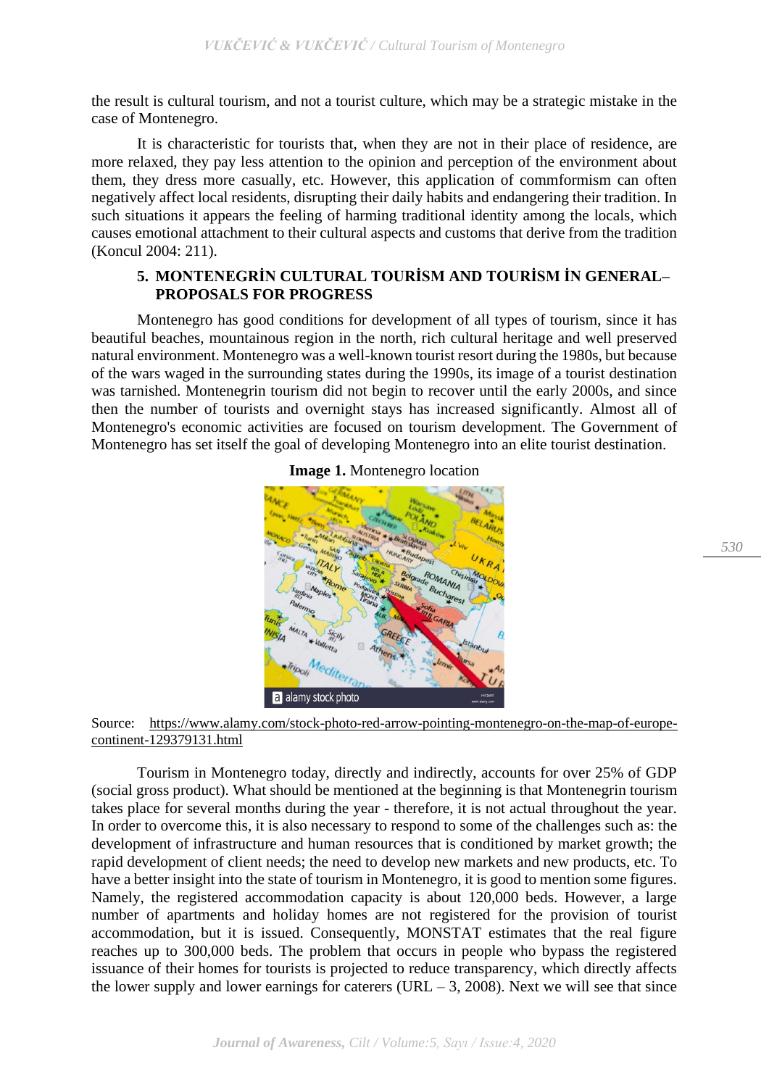the result is cultural tourism, and not a tourist culture, which may be a strategic mistake in the case of Montenegro.

It is characteristic for tourists that, when they are not in their place of residence, are more relaxed, they pay less attention to the opinion and perception of the environment about them, they dress more casually, etc. However, this application of commformism can often negatively affect local residents, disrupting their daily habits and endangering their tradition. In such situations it appears the feeling of harming traditional identity among the locals, which causes emotional attachment to their cultural aspects and customs that derive from the tradition (Koncul 2004: 211).

## **5. MONTENEGRİN CULTURAL TOURİSM AND TOURİSM İN GENERAL– PROPOSALS FOR PROGRESS**

Montenegro has good conditions for development of all types of tourism, since it has beautiful beaches, mountainous region in the north, rich cultural heritage and well preserved natural environment. Montenegro was a well-known tourist resort during the 1980s, but because of the wars waged in the surrounding states during the 1990s, its image of a tourist destination was tarnished. Montenegrin tourism did not begin to recover until the early 2000s, and since then the number of tourists and overnight stays has increased significantly. Almost all of Montenegro's economic activities are focused on tourism development. The Government of Montenegro has set itself the goal of developing Montenegro into an elite tourist destination.



**Image 1.** Montenegro location

Source: [https://www.alamy.com/stock-photo-red-arrow-pointing-montenegro-on-the-map-of-europe](https://www.alamy.com/stock-photo-red-arrow-pointing-montenegro-on-the-map-of-europe-continent-129379131.html)[continent-129379131.html](https://www.alamy.com/stock-photo-red-arrow-pointing-montenegro-on-the-map-of-europe-continent-129379131.html)

Tourism in Montenegro today, directly and indirectly, accounts for over 25% of GDP (social gross product). What should be mentioned at the beginning is that Montenegrin tourism takes place for several months during the year - therefore, it is not actual throughout the year. In order to overcome this, it is also necessary to respond to some of the challenges such as: the development of infrastructure and human resources that is conditioned by market growth; the rapid development of client needs; the need to develop new markets and new products, etc. To have a better insight into the state of tourism in Montenegro, it is good to mention some figures. Namely, the registered accommodation capacity is about 120,000 beds. However, a large number of apartments and holiday homes are not registered for the provision of tourist accommodation, but it is issued. Consequently, MONSTAT estimates that the real figure reaches up to 300,000 beds. The problem that occurs in people who bypass the registered issuance of their homes for tourists is projected to reduce transparency, which directly affects the lower supply and lower earnings for caterers (URL  $-$  3, 2008). Next we will see that since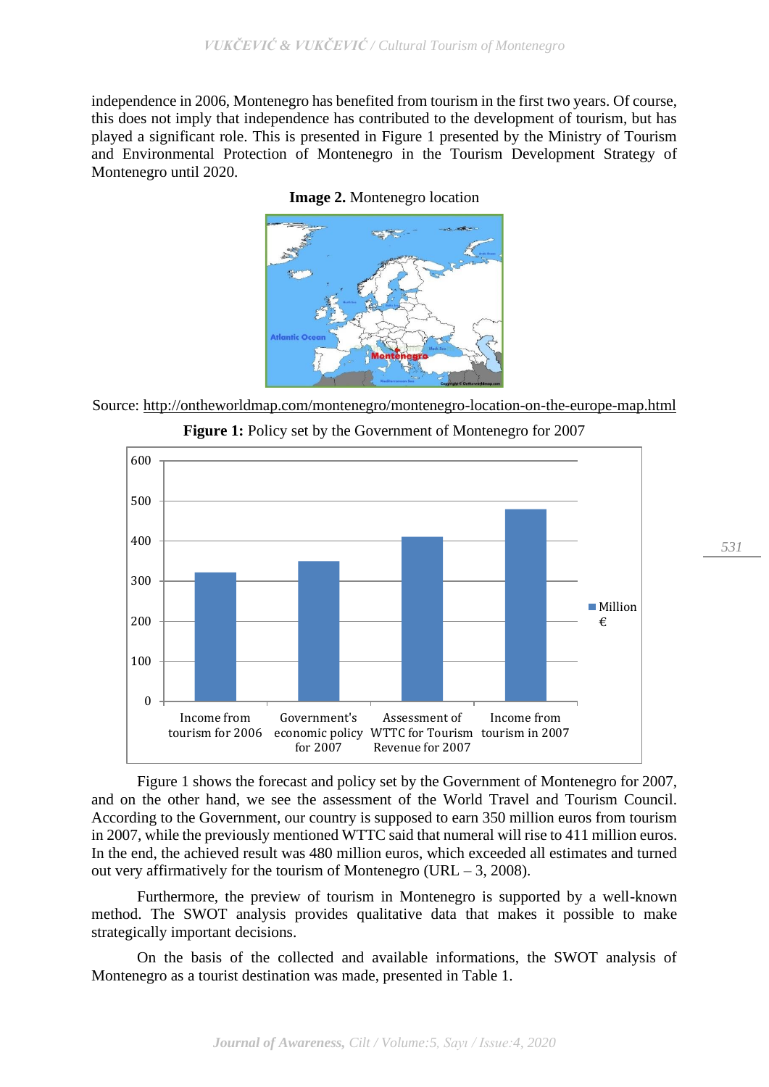independence in 2006, Montenegro has benefited from tourism in the first two years. Of course, this does not imply that independence has contributed to the development of tourism, but has played a significant role. This is presented in Figure 1 presented by the Ministry of Tourism and Environmental Protection of Montenegro in the Tourism Development Strategy of Montenegro until 2020.



**Image 2.** Montenegro location

Source: <http://ontheworldmap.com/montenegro/montenegro-location-on-the-europe-map.html> **Figure 1:** Policy set by the Government of Montenegro for 2007



Figure 1 shows the forecast and policy set by the Government of Montenegro for 2007, and on the other hand, we see the assessment of the World Travel and Tourism Council. According to the Government, our country is supposed to earn 350 million euros from tourism in 2007, while the previously mentioned WTTC said that numeral will rise to 411 million euros. In the end, the achieved result was 480 million euros, which exceeded all estimates and turned out very affirmatively for the tourism of Montenegro (URL – 3, 2008).

Furthermore, the preview of tourism in Montenegro is supported by a well-known method. The SWOT analysis provides qualitative data that makes it possible to make strategically important decisions.

On the basis of the collected and available informations, the SWOT analysis of Montenegro as a tourist destination was made, presented in Table 1.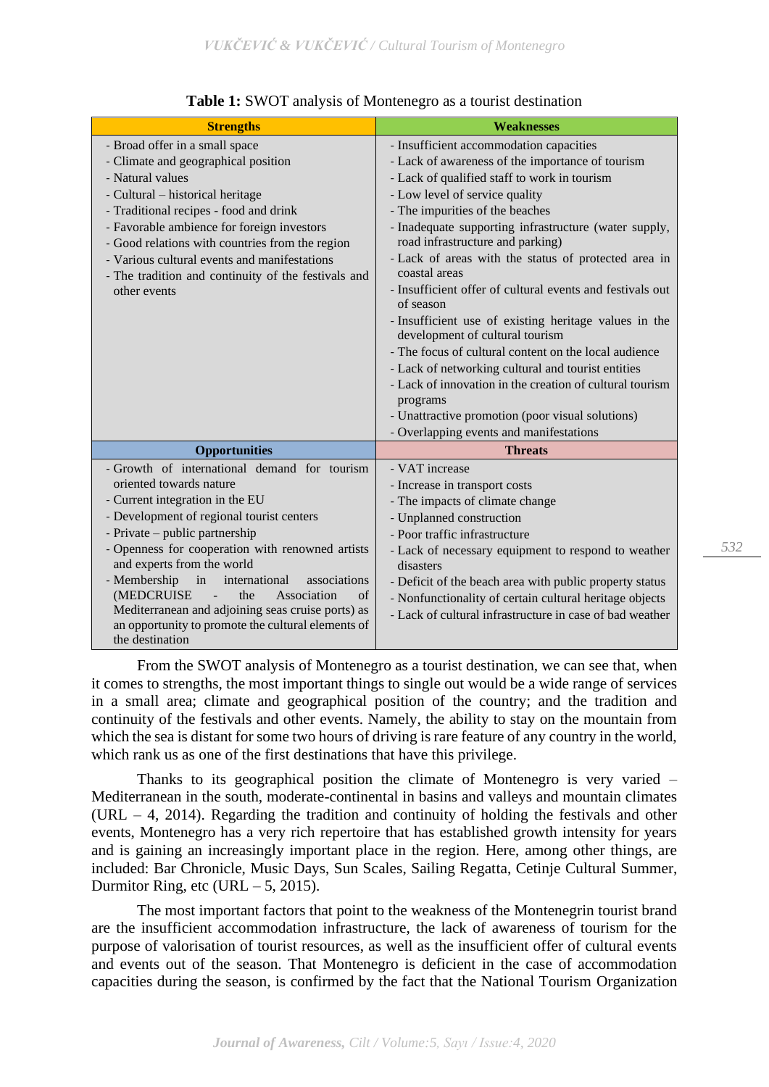| <b>Strengths</b>                                                                                                           | <b>Weaknesses</b>                                                                         |
|----------------------------------------------------------------------------------------------------------------------------|-------------------------------------------------------------------------------------------|
| - Broad offer in a small space                                                                                             | - Insufficient accommodation capacities                                                   |
| - Climate and geographical position                                                                                        | - Lack of awareness of the importance of tourism                                          |
| - Natural values                                                                                                           | - Lack of qualified staff to work in tourism                                              |
| - Cultural – historical heritage                                                                                           | - Low level of service quality                                                            |
| - Traditional recipes - food and drink                                                                                     | - The impurities of the beaches                                                           |
| - Favorable ambience for foreign investors<br>- Good relations with countries from the region                              | - Inadequate supporting infrastructure (water supply,<br>road infrastructure and parking) |
| - Various cultural events and manifestations<br>- The tradition and continuity of the festivals and                        | - Lack of areas with the status of protected area in<br>coastal areas                     |
| other events                                                                                                               | - Insufficient offer of cultural events and festivals out<br>of season                    |
|                                                                                                                            | - Insufficient use of existing heritage values in the<br>development of cultural tourism  |
|                                                                                                                            | - The focus of cultural content on the local audience                                     |
|                                                                                                                            | - Lack of networking cultural and tourist entities                                        |
|                                                                                                                            | - Lack of innovation in the creation of cultural tourism                                  |
|                                                                                                                            | programs                                                                                  |
|                                                                                                                            | - Unattractive promotion (poor visual solutions)                                          |
|                                                                                                                            | - Overlapping events and manifestations                                                   |
| <b>Opportunities</b>                                                                                                       | <b>Threats</b>                                                                            |
| - Growth of international demand for tourism                                                                               | - VAT increase                                                                            |
| oriented towards nature                                                                                                    | - Increase in transport costs                                                             |
| - Current integration in the EU                                                                                            | - The impacts of climate change                                                           |
| - Development of regional tourist centers                                                                                  | - Unplanned construction                                                                  |
| - Private – public partnership                                                                                             | - Poor traffic infrastructure                                                             |
| - Openness for cooperation with renowned artists<br>and experts from the world                                             | - Lack of necessary equipment to respond to weather<br>disasters                          |
| - Membership<br>in<br>associations<br>international                                                                        | - Deficit of the beach area with public property status                                   |
| (MEDCRUISE<br>$\sigma$ f<br>the<br>Association                                                                             | - Nonfunctionality of certain cultural heritage objects                                   |
| Mediterranean and adjoining seas cruise ports) as<br>an opportunity to promote the cultural elements of<br>the destination | - Lack of cultural infrastructure in case of bad weather                                  |

## **Table 1:** SWOT analysis of Montenegro as a tourist destination

From the SWOT analysis of Montenegro as a tourist destination, we can see that, when it comes to strengths, the most important things to single out would be a wide range of services in a small area; climate and geographical position of the country; and the tradition and continuity of the festivals and other events. Namely, the ability to stay on the mountain from which the sea is distant for some two hours of driving is rare feature of any country in the world, which rank us as one of the first destinations that have this privilege.

Thanks to its geographical position the climate of Montenegro is very varied – Mediterranean in the south, moderate-continental in basins and valleys and mountain climates (URL – 4, 2014). Regarding the tradition and continuity of holding the festivals and other events, Montenegro has a very rich repertoire that has established growth intensity for years and is gaining an increasingly important place in the region. Here, among other things, are included: Bar Chronicle, Music Days, Sun Scales, Sailing Regatta, Cetinje Cultural Summer, Durmitor Ring, etc (URL  $-5$ , 2015).

The most important factors that point to the weakness of the Montenegrin tourist brand are the insufficient accommodation infrastructure, the lack of awareness of tourism for the purpose of valorisation of tourist resources, as well as the insufficient offer of cultural events and events out of the season. That Montenegro is deficient in the case of accommodation capacities during the season, is confirmed by the fact that the National Tourism Organization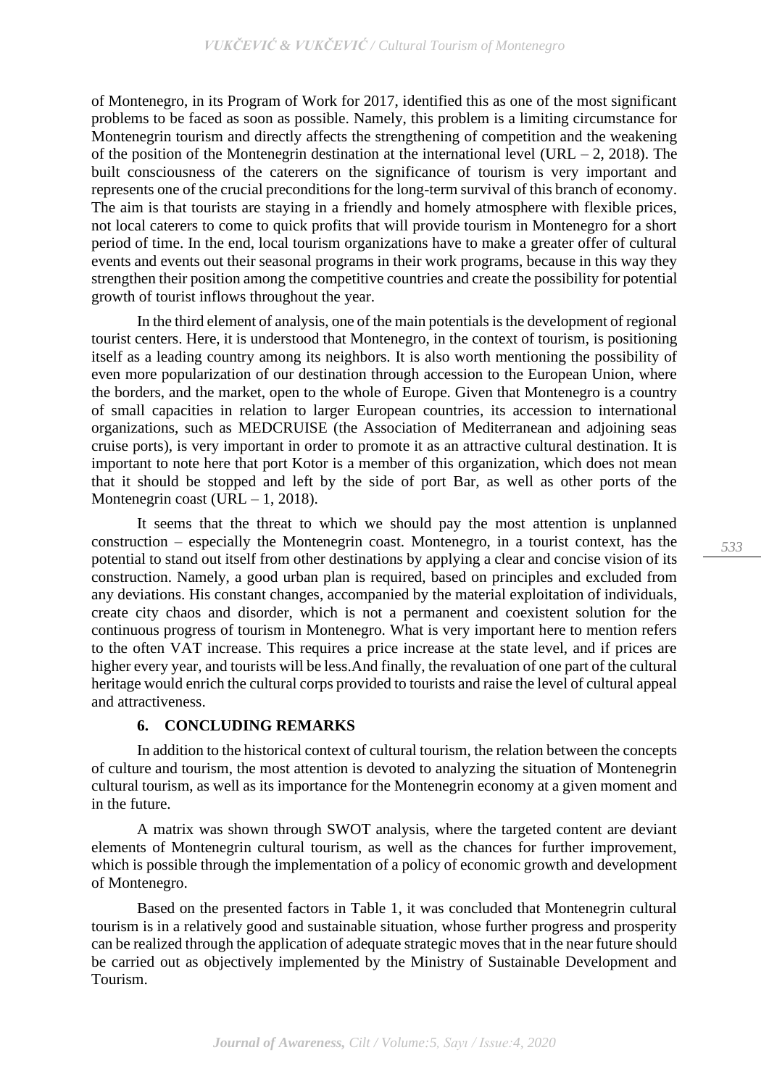of Montenegro, in its Program of Work for 2017, identified this as one of the most significant problems to be faced as soon as possible. Namely, this problem is a limiting circumstance for Montenegrin tourism and directly affects the strengthening of competition and the weakening of the position of the Montenegrin destination at the international level (URL – 2, 2018). The built consciousness of the caterers on the significance of tourism is very important and represents one of the crucial preconditions for the long-term survival of this branch of economy. The aim is that tourists are staying in a friendly and homely atmosphere with flexible prices, not local caterers to come to quick profits that will provide tourism in Montenegro for a short period of time. In the end, local tourism organizations have to make a greater offer of cultural events and events out their seasonal programs in their work programs, because in this way they strengthen their position among the competitive countries and create the possibility for potential growth of tourist inflows throughout the year.

In the third element of analysis, one of the main potentials is the development of regional tourist centers. Here, it is understood that Montenegro, in the context of tourism, is positioning itself as a leading country among its neighbors. It is also worth mentioning the possibility of even more popularization of our destination through accession to the European Union, where the borders, and the market, open to the whole of Europe. Given that Montenegro is a country of small capacities in relation to larger European countries, its accession to international organizations, such as MEDCRUISE (the Association of Mediterranean and adjoining seas cruise ports), is very important in order to promote it as an attractive cultural destination. It is important to note here that port Kotor is a member of this organization, which does not mean that it should be stopped and left by the side of port Bar, as well as other ports of the Montenegrin coast (URL  $-1$ , 2018).

It seems that the threat to which we should pay the most attention is unplanned construction – especially the Montenegrin coast. Montenegro, in a tourist context, has the potential to stand out itself from other destinations by applying a clear and concise vision of its construction. Namely, a good urban plan is required, based on principles and excluded from any deviations. His constant changes, accompanied by the material exploitation of individuals, create city chaos and disorder, which is not a permanent and coexistent solution for the continuous progress of tourism in Montenegro. What is very important here to mention refers to the often VAT increase. This requires a price increase at the state level, and if prices are higher every year, and tourists will be less.And finally, the revaluation of one part of the cultural heritage would enrich the cultural corps provided to tourists and raise the level of cultural appeal and attractiveness.

## **6. CONCLUDING REMARKS**

In addition to the historical context of cultural tourism, the relation between the concepts of culture and tourism, the most attention is devoted to analyzing the situation of Montenegrin cultural tourism, as well as its importance for the Montenegrin economy at a given moment and in the future.

A matrix was shown through SWOT analysis, where the targeted content are deviant elements of Montenegrin cultural tourism, as well as the chances for further improvement, which is possible through the implementation of a policy of economic growth and development of Montenegro.

Based on the presented factors in Table 1, it was concluded that Montenegrin cultural tourism is in a relatively good and sustainable situation, whose further progress and prosperity can be realized through the application of adequate strategic moves that in the near future should be carried out as objectively implemented by the Ministry of Sustainable Development and Tourism.